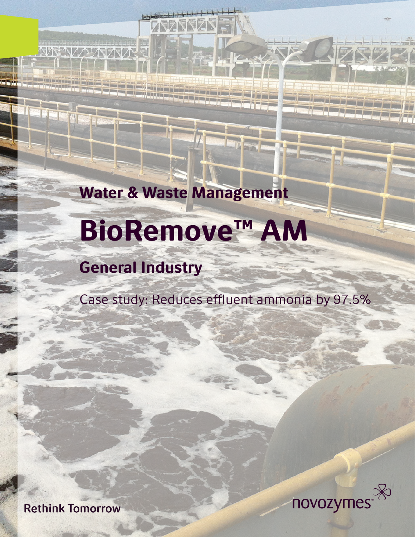Water & Waste Management

# BioRemove™ AM

## General Industry

**NAXAZAZINA** 

Case study: Reduces effluent ammonia by 97.5%

**Rethink Tomorrow** 

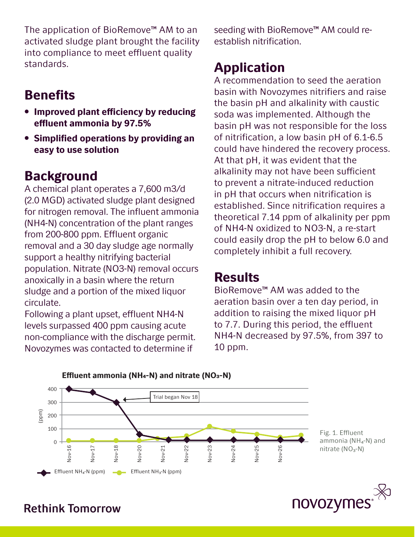The application of BioRemove™ AM to an activated sludge plant brought the facility into compliance to meet effluent quality standards.

## **Benefits**

- Improved plant efficiency by reducing effluent ammonia by 97.5%
- Simplified operations by providing an easy to use solution

## Background

A chemical plant operates a 7,600 m3/d (2.0 MGD) activated sludge plant designed for nitrogen removal. The influent ammonia (NH4-N) concentration of the plant ranges from 200-800 ppm. Effluent organic removal and a 30 day sludge age normally support a healthy nitrifying bacterial population. Nitrate (NO3-N) removal occurs anoxically in a basin where the return sludge and a portion of the mixed liquor circulate.

Following a plant upset, effluent NH4-N levels surpassed 400 ppm causing acute non-compliance with the discharge permit. Novozymes was contacted to determine if

Effluent ammonia (NH4-N) and nitrate (NO3-N)

seeding with BioRemove<sup>™</sup> AM could reestablish nitrification.

## Application

A recommendation to seed the aeration basin with Novozymes nitrifiers and raise the basin pH and alkalinity with caustic soda was implemented. Although the basin pH was not responsible for the loss of nitrification, a low basin pH of 6.1-6.5 could have hindered the recovery process. At that pH, it was evident that the alkalinity may not have been sufficient to prevent a nitrate-induced reduction in pH that occurs when nitrification is established. Since nitrification requires a theoretical 7.14 ppm of alkalinity per ppm of NH4-N oxidized to NO3-N, a re-start could easily drop the pH to below 6.0 and completely inhibit a full recovery.

#### Results

BioRemove™ AM was added to the aeration basin over a ten day period, in addition to raising the mixed liquor pH to 7.7. During this period, the effluent NH4-N decreased by 97.5%, from 397 to 10 ppm.



ammonia ( $NH<sub>4</sub>$ -N) and



#### **Rethink Tomorrow**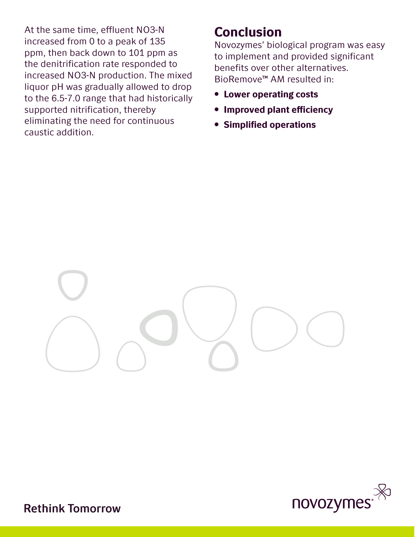At the same time, effluent NO3-N increased from 0 to a peak of 135 ppm, then back down to 101 ppm as the denitrification rate responded to increased NO3-N production. The mixed liquor pH was gradually allowed to drop to the 6.5-7.0 range that had historically supported nitrification, thereby eliminating the need for continuous caustic addition.

#### Conclusion

Novozymes' biological program was easy to implement and provided significant benefits over other alternatives. BioRemove™ AM resulted in:

- Lower operating costs
- Improved plant efficiency
- Simplified operations





**Rethink Tomorrow**